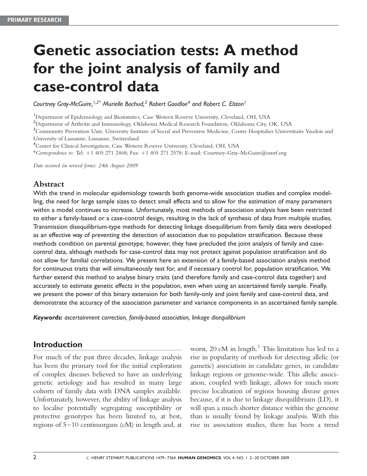# Genetic association tests: A method for the joint analysis of family and case-control data

Courtney Gray-McGuire,  $1,2^*$  Murielle Bochud,<sup>3</sup> Robert Goodloe<sup>4</sup> and Robert C. Elston<sup>1</sup>

<sup>1</sup>Department of Epidemiology and Biostatistics, Case Western Reserve University, Cleveland, OH, USA

<sup>2</sup>Department of Arthritis and Immunology, Oklahoma Medical Research Foundation, Oklahoma City, OK, USA

<sup>3</sup>Community Prevention Unit, University Institute of Social and Preventive Medicine, Centre Hospitalier Universitaire Vaudois and University of Lausanne, Lausanne, Switzerland

4 Center for Clinical Investigation, Case Western Reserve University, Cleveland, OH, USA

\*Correspondence to: Tel: þ1 405 271 2468; Fax: þ1 405 271 2578; E-mail: Courtney-Gray-McGuire@omrf.org

Date received (in revised form): 24th August 2009

## Abstract

With the trend in molecular epidemiology towards both genome-wide association studies and complex modelling, the need for large sample sizes to detect small effects and to allow for the estimation of many parameters within a model continues to increase. Unfortunately, most methods of association analysis have been restricted to either a family-based or a case-control design, resulting in the lack of synthesis of data from multiple studies. Transmission disequilibrium-type methods for detecting linkage disequilibrium from family data were developed as an effective way of preventing the detection of association due to population stratification. Because these methods condition on parental genotype, however, they have precluded the joint analysis of family and casecontrol data, although methods for case-control data may not protect against population stratification and do not allow for familial correlations. We present here an extension of a family-based association analysis method for continuous traits that will simultaneously test for, and if necessary control for, population stratification. We further extend this method to analyse binary traits (and therefore family and case-control data together) and accurately to estimate genetic effects in the population, even when using an ascertained family sample. Finally, we present the power of this binary extension for both family-only and joint family and case-control data, and demonstrate the accuracy of the association parameter and variance components in an ascertained family sample.

Keywords: ascertainment correction, family-based association, linkage disequilibrium

# Introduction

For much of the past three decades, linkage analysis has been the primary tool for the initial exploration of complex diseases believed to have an underlying genetic aetiology and has resulted in many large cohorts of family data with DNA samples available. Unfortunately, however, the ability of linkage analysis to localise potentially segregating susceptibility or protective genotypes has been limited to, at best, regions of 5–10 centimorgans (cM) in length and, at

worst,  $20 \text{ cM}$  in length.<sup>1</sup> This limitation has led to a rise in popularity of methods for detecting allelic (or gametic) association in candidate genes, in candidate linkage regions or genome-wide. This allelic association, coupled with linkage, allows for much more precise localisation of regions housing disease genes because, if it is due to linkage disequilibrium (LD), it will span a much shorter distance within the genome than is usually found by linkage analysis. With this rise in association studies, there has been a trend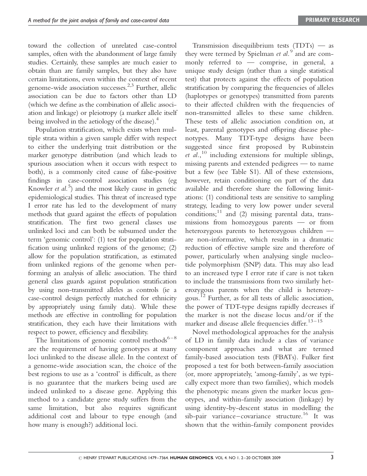toward the collection of unrelated case-control samples, often with the abandonment of large family studies. Certainly, these samples are much easier to obtain than are family samples, but they also have certain limitations, even within the context of recent genome-wide association successes.2,3 Further, allelic association can be due to factors other than LD (which we define as the combination of allelic association and linkage) or pleiotropy (a marker allele itself being involved in the aetiology of the disease).<sup>4</sup>

Population stratification, which exists when multiple strata within a given sample differ with respect to either the underlying trait distribution or the marker genotype distribution (and which leads to spurious association when it occurs with respect to both), is a commonly cited cause of false-positive findings in case-control association studies (eg Knowler et al.<sup>5</sup>) and the most likely cause in genetic epidemiological studies. This threat of increased type I error rate has led to the development of many methods that guard against the effects of population stratification. The first two general classes use unlinked loci and can both be subsumed under the term 'genomic control': (1) test for population stratification using unlinked regions of the genome; (2) allow for the population stratification, as estimated from unlinked regions of the genome when performing an analysis of allelic association. The third general class guards against population stratification by using non-transmitted alleles as controls (ie a case-control design perfectly matched for ethnicity by appropriately using family data). While these methods are effective in controlling for population stratification, they each have their limitations with respect to power, efficiency and flexibility.

The limitations of genomic control methods $6-8$ are the requirement of having genotypes at many loci unlinked to the disease allele. In the context of a genome-wide association scan, the choice of the best regions to use as a 'control' is difficult, as there is no guarantee that the markers being used are indeed unlinked to a disease gene. Applying this method to a candidate gene study suffers from the same limitation, but also requires significant additional cost and labour to type enough (and how many is enough?) additional loci.

Transmission disequilibrium tests (TDTs) — as they were termed by Spielman et  $al.^9$  and are commonly referred to — comprise, in general, a unique study design (rather than a single statistical test) that protects against the effects of population stratification by comparing the frequencies of alleles (haplotypes or genotypes) transmitted from parents to their affected children with the frequencies of non-transmitted alleles to these same children. These tests of allelic association condition on, at least, parental genotypes and offspring disease phenotypes. Many TDT-type designs have been suggested since first proposed by Rubinstein et al., <sup>10</sup> including extensions for multiple siblings, missing parents and extended pedigrees — to name but a few (see Table S1). All of these extensions, however, retain conditioning on part of the data available and therefore share the following limitations: (1) conditional tests are sensitive to sampling strategy, leading to very low power under several  $\text{conditions};^{11}$  and (2) missing parental data, transmissions from homozygous parents — or from heterozygous parents to heterozygous children are non-informative, which results in a dramatic reduction of effective sample size and therefore of power, particularly when analysing single nucleotide polymorphism (SNP) data. This may also lead to an increased type I error rate if care is not taken to include the transmissions from two similarly heterozygous parents when the child is heterozygous. <sup>12</sup> Further, as for all tests of allelic association, the power of TDT-type designs rapidly decreases if the marker is not the disease locus and/or if the marker and disease allele frequencies differ. $13-15$ 

Novel methodological approaches for the analysis of LD in family data include a class of variance component approaches and what are termed family-based association tests (FBATs). Fulker first proposed a test for both between-family association (or, more appropriately, 'among-family', as we typically expect more than two families), which models the phenotypic means given the marker locus genotypes, and within-family association (linkage) by using identity-by-descent status in modelling the sib-pair variance-covariance structure.<sup>16</sup> It was shown that the within-family component provides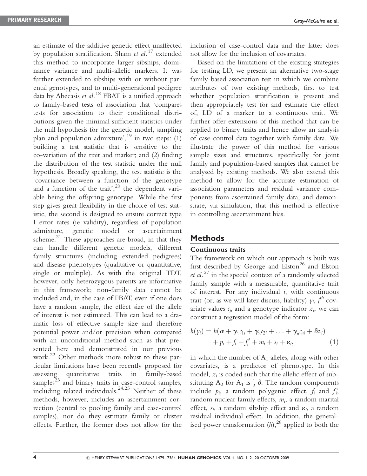an estimate of the additive genetic effect unaffected by population stratification. Sham et  $al.^{17}$  extended this method to incorporate larger sibships, dominance variance and multi-allelic markers. It was further extended to sibships with or without parental genotypes, and to multi-generational pedigree data by Abecasis et al.<sup>18</sup> FBAT is a unified approach to family-based tests of association that 'compares tests for association to their conditional distributions given the minimal sufficient statistics under the null hypothesis for the genetic model, sampling plan and population admixture',  $^{19}$  in two steps: (1) building a test statistic that is sensitive to the co-variation of the trait and marker; and (2) finding the distribution of the test statistic under the null hypothesis. Broadly speaking, the test statistic is the 'covariance between a function of the genotype and a function of the trait',<sup>20</sup> the dependent variable being the offspring genotype. While the first step gives great flexibility in the choice of test statistic, the second is designed to ensure correct type I error rates (ie validity), regardless of population admixture, genetic model or ascertainment scheme. $^{21}$  These approaches are broad, in that they can handle different genetic models, different family structures (including extended pedigrees) and disease phenotypes (qualitative or quantitative, single or multiple). As with the original TDT, however, only heterozygous parents are informative in this framework; non-family data cannot be included and, in the case of FBAT, even if one does have a random sample, the effect size of the allele of interest is not estimated. This can lead to a dramatic loss of effective sample size and therefore potential power and/or precision when compared with an unconditional method such as that presented here and demonstrated in our previous work.<sup>22</sup> Other methods more robust to these particular limitations have been recently proposed for assessing quantitative traits in family-based samples $^{23}$  and binary traits in case-control samples, including related individuals.<sup>24,25</sup> Neither of these methods, however, includes an ascertainment correction (central to pooling family and case-control samples), nor do they estimate family or cluster effects. Further, the former does not allow for the

inclusion of case-control data and the latter does not allow for the inclusion of covariates.

Based on the limitations of the existing strategies for testing LD, we present an alternative two-stage family-based association test in which we combine attributes of two existing methods, first to test whether population stratification is present and then appropriately test for and estimate the effect of, LD of a marker to a continuous trait. We further offer extensions of this method that can be applied to binary traits and hence allow an analysis of case-control data together with family data. We illustrate the power of this method for various sample sizes and structures, specifically for joint family and population-based samples that cannot be analysed by existing methods. We also extend this method to allow for the accurate estimation of association parameters and residual variance components from ascertained family data, and demonstrate, via simulation, that this method is effective in controlling ascertainment bias.

# Methods

# Continuous traits

The framework on which our approach is built was first described by George and  $Elston<sup>26</sup>$  and  $Elston$ et al.<sup>27</sup> in the special context of a randomly selected family sample with a measurable, quantitative trait of interest. For any individual  $i$ , with continuous trait (or, as we will later discuss, liability)  $\gamma_i$ ,  $j^{th}$  covariate values  $c_{ji}$  and a genotype indicator  $z_i$ , we can construct a regression model of the form:

$$
h(\gamma_i) = h(\alpha + \gamma_1 c_{1i} + \gamma_2 c_{2i} + \ldots + \gamma_n c_{ni} + \delta z_i)
$$
  
+ 
$$
p_i + f_i + f'_i + m_i + s_i + \varepsilon_i,
$$
 (1)

in which the number of  $A_1$  alleles, along with other covariates, is a predictor of phenotype. In this model,  $z_i$  is coded such that the allelic effect of substituting A<sub>2</sub> for A<sub>1</sub> is  $\frac{1}{2}$   $\delta$ . The random components include  $p_i$ , a random polygenic effect,  $f_i$  and  $f'_i$ ,  $r$ andom nuclear family effects,  $m_i$ , a random marital effect,  $s_i$ , a random sibship effect and  $\varepsilon_i$ , a random residual individual effect. In addition, the generalised power transformation  $(h)$ ,<sup>28</sup> applied to both the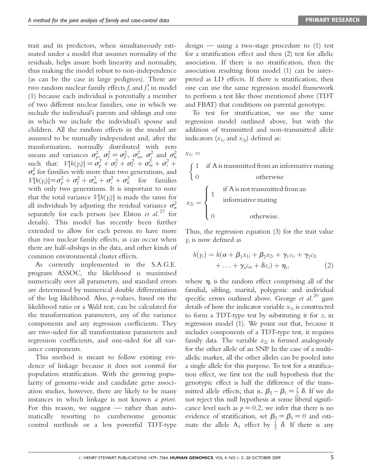trait and its predictors, when simultaneously estimated under a model that assumes normality of the residuals, helps assure both linearity and normality, thus making the model robust to non-independence (as can be the case in large pedigrees). There are two random nuclear family effects  $f_i$  and  $f_i'$  in model (1) because each individual is potentially a member of two different nuclear families, one in which we include the individual's parents and siblings and one in which we include the individual's spouse and children. All the random effects in the model are assumed to be mutually independent and, after the transformation, normally distributed with zero means and variances  $\sigma_p^2$ ,  $\sigma_f^2 = \sigma_f^2$ ,  $\sigma_m^2$ ,  $\sigma_s^2$  and  $\sigma_e^2$ such that:  $V[h(\gamma_i)] = \sigma_p^2 + \sigma_f^2 + \sigma_f^2 + \sigma_m^2 + \sigma_s^2 +$  $\sigma_{\varepsilon}^2$  for families with more than two generations, and  $V[h(\gamma_i)] = \sigma_p^2 + \sigma_f^2 + \sigma_m^2 + \sigma_s^2 + \sigma_e^2$  for families with only two generations. It is important to note that the total variance  $V[h(\gamma_i)]$  is made the same for all individuals by adjusting the residual variance  $\sigma_{\varepsilon}^2$ separately for each person (see Elston *et al.*<sup>27</sup> for details). This model has recently been further extended to allow for each person to have more than two nuclear family effects, as can occur when there are half-sibships in the data, and other kinds of common environmental cluster effects.

As currently implemented in the S.A.G.E. program ASSOC, the likelihood is maximised numerically over all parameters, and standard errors are determined by numerical double differentiation of the log likelihood. Also, p-values, based on the likelihood ratio or a Wald test, can be calculated for the transformation parameters, any of the variance components and any regression coefficients. They are two-sided for all transformation parameters and regression coefficients, and one-sided for all variance components.

This method is meant to follow existing evidence of linkage because it does not control for population stratification. With the growing popularity of genome-wide and candidate gene association studies, however, there are likely to be many instances in which linkage is not known a priori. For this reason, we suggest — rather than automatically resorting to cumbersome genomic control methods or a less powerful TDT-type design — using a two-stage procedure to (1) test for a stratification effect and then (2) test for allelic association. If there is no stratification, then the association resulting from model (1) can be interpreted as LD effects. If there is stratification, then one can use the same regression model framework to perform a test like those mentioned above (TDT and FBAT) that conditions on parental genotype.

To test for stratification, we use the same regression model outlined above, but with the addition of transmitted and non-transmitted allele indicators  $(x_{1i}$  and  $x_{2i})$  defined as:

 $x_{1i} =$ 

 $\begin{cases} 1 & \text{if A is transmitted from an informative mating} \\ 0 & \text{otherwise} \end{cases}$  $\begin{cases} 1 \\ 0 \end{cases}$  $x_{2i} =$ 1 if A is not transmitted from an informative mating 0 otherwise:  $\overline{6}$  $\frac{1}{2}$  $\frac{1}{2}$ 

Thus, the regression equation (3) for the trait value  $y_i$  is now defined as

$$
h(\gamma_i) = h(\alpha + \beta_1 x_{1i} + \beta_2 x_{2i} + \gamma_1 c_{1i} + \gamma_2 c_{2i}
$$
  
+ ... +  $\gamma_n c_{ni} + \delta z_i$ ) +  $\eta_i$ , (2)

where  $\eta_i$  is the random effect comprising all of the familial, sibling, marital, polygenic and individual specific errors outlined above. George et  $al.^{29}$  gave details of how the indicator variable  $x_{1i}$  is constructed to form a TDT-type test by substituting it for  $z_i$  in regression model (1). We point out that, because it includes components of a TDT-type test, it requires family data. The variable  $x_{2i}$  is formed analogously for the other allele of an SNP. In the case of a multiallelic marker, all the other alleles can be pooled into a single allele for this purpose. To test for a stratification effect, we first test the null hypothesis that the genotypic effect is half the difference of the transmitted allele effects; that is,  $\beta_2 - \beta_1 = \frac{1}{2} \delta$ . If we do not reject this null hypothesis at some liberal significance level such as  $p = 0.2$ , we infer that there is no evidence of stratification, set  $\beta_2 = \beta_1 = 0$  and estimate the allele  $A_1$  effect by  $\frac{1}{2}$   $\delta$ . If there is any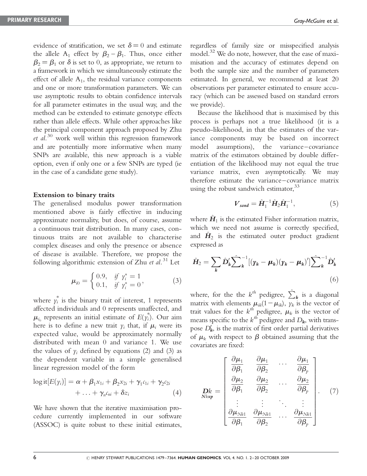evidence of stratification, we set  $\delta = 0$  and estimate the allele A<sub>1</sub> effect by  $\beta_2 - \beta_1$ . Thus, once either  $\beta_2 = \beta_1$  or  $\delta$  is set to 0, as appropriate, we return to a framework in which we simultaneously estimate the effect of allele  $A_1$ , the residual variance components and one or more transformation parameters. We can use asymptotic results to obtain confidence intervals for all parameter estimates in the usual way, and the method can be extended to estimate genotype effects rather than allele effects. While other approaches like the principal component approach proposed by Zhu et  $al.^{30}$  work well within this regression framework and are potentially more informative when many SNPs are available, this new approach is a viable option, even if only one or a few SNPs are typed (ie in the case of a candidate gene study).

#### Extension to binary traits

The generalised modulus power transformation mentioned above is fairly effective in inducing approximate normality, but does, of course, assume a continuous trait distribution. In many cases, continuous traits are not available to characterise complex diseases and only the presence or absence of disease is available. Therefore, we propose the following algorithmic extension of Zhu et  $al.^{31}$  Let

$$
\mu_{i0} = \begin{cases} 0.9, & \text{if } \gamma_i^* = 1 \\ 0.1, & \text{if } \gamma_i^* = 0 \end{cases}
$$
 (3)

where  $y_i^*$  is the binary trait of interest, 1 represents affected individuals and 0 represents unaffected, and  $\mu_{i_0}$  represents an initial estimate of  $E(\gamma_i^*)$ . Our aim here is to define a new trait  $y_i$  that, if  $\mu_i$  were its expected value, would be approximately normally distributed with mean 0 and variance 1. We use the values of  $y_i$  defined by equations (2) and (3) as the dependent variable in a simple generalised linear regression model of the form

$$
\log \mathrm{it}[E(\gamma_i)] = \alpha + \beta_1 x_{1i} + \beta_2 x_{2i} + \gamma_1 c_{1i} + \gamma_2 c_{2i} + \ldots + \gamma_n c_{ni} + \delta z_i
$$
 (4)

We have shown that the iterative maximisation procedure currently implemented in our software (ASSOC) is quite robust to these initial estimates,

regardless of family size or misspecified analysis model.<sup>32</sup> We do note, however, that the ease of maximisation and the accuracy of estimates depend on both the sample size and the number of parameters estimated. In general, we recommend at least 20 observations per parameter estimated to ensure accuracy (which can be assessed based on standard errors we provide).

Because the likelihood that is maximised by this process is perhaps not a true likelihood (it is a pseudo-likelihood, in that the estimates of the variance components may be based on incorrect model assumptions), the variance–covariance matrix of the estimators obtained by double differentiation of the likelihood may not equal the true variance matrix, even asymptotically. We may therefore estimate the variance–covariance matrix using the robust sandwich estimator,  $33$ 

$$
V_{\text{sand}} = \hat{H}_1^{-1} \hat{H}_2 \hat{H}_1^{-1}, \tag{5}
$$

where  $\hat{H}_1$  is the estimated Fisher information matrix, which we need not assume is correctly specified, and  $\hat{H}_2$  is the estimated outer product gradient expressed as

$$
\hat{H}_2 = \sum_k \hat{D}'_k \sum_k^{-1} [(y_k - \mu_k)(y_k - \mu_k)'] \sum_k^{-1} \hat{D}'_k
$$
\n(6)

where, for the the  $k^{th}$  pedigree,  $\sum_{k}$  is a diagonal matrix with elements  $\mu_{ik}(1-\mu_{ik}), \overline{\gamma_k}$  is the vector of trait values for the  $k^{th}$  pedigree,  $\mu_k$  is the vector of means specific to the  $k^{th}$  pedigree and  $D_k$ , with transpose  $D'_{\boldsymbol{k}}$ , is the matrix of first order partial derivatives of  $\mu_k$  with respect to  $\beta$  obtained assuming that the covariates are fixed:

$$
\mathbf{D}_{k} = \begin{bmatrix} \frac{\partial \mu_1}{\partial \beta_1} & \frac{\partial \mu_1}{\partial \beta_2} & \cdots & \frac{\partial \mu_1}{\partial \beta_p} \\ \frac{\partial \mu_2}{\partial \beta_1} & \frac{\partial \mu_2}{\partial \beta_2} & \cdots & \frac{\partial \mu_2}{\partial \beta_p} \\ \vdots & \vdots & \ddots & \vdots \\ \frac{\partial \mu_{Nk1}}{\partial \beta_1} & \frac{\partial \mu_{Nk1}}{\partial \beta_2} & \cdots & \frac{\partial \mu_{Nk1}}{\partial \beta_p} \end{bmatrix} . \quad (7)
$$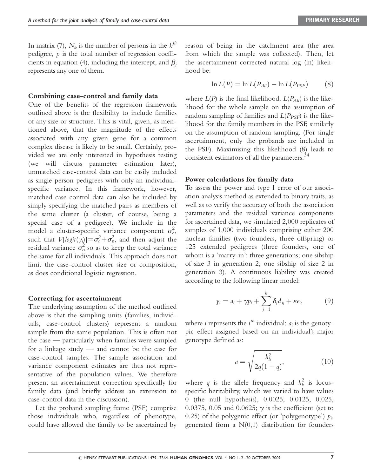In matrix (7),  $N_k$  is the number of persons in the  $k^{th}$ pedigree,  $p$  is the total number of regression coefficients in equation (4), including the intercept, and  $\beta_i$ represents any one of them.

#### Combining case-control and family data

One of the benefits of the regression framework outlined above is the flexibility to include families of any size or structure. This is vital, given, as mentioned above, that the magnitude of the effects associated with any given gene for a common complex disease is likely to be small. Certainly, provided we are only interested in hypothesis testing (we will discuss parameter estimation later), unmatched case-control data can be easily included as single person pedigrees with only an individualspecific variance. In this framework, however, matched case-control data can also be included by simply specifying the matched pairs as members of the same cluster (a cluster, of course, being a special case of a pedigree). We include in the model a cluster-specific variance component  $\sigma_c^2$ , such that  $V[logit(\gamma_i)] = \sigma_c^2 + \sigma_{\varepsilon}^2$ , and then adjust the residual variance  $\sigma_{\epsilon}^2$  so as to keep the total variance the same for all individuals. This approach does not limit the case-control cluster size or composition, as does conditional logistic regression.

#### Correcting for ascertainment

The underlying assumption of the method outlined above is that the sampling units (families, individuals, case-control clusters) represent a random sample from the same population. This is often not the case — particularly when families were sampled for a linkage study — and cannot be the case for case-control samples. The sample association and variance component estimates are thus not representative of the population values. We therefore present an ascertainment correction specifically for family data (and briefly address an extension to case-control data in the discussion).

Let the proband sampling frame (PSF) comprise those individuals who, regardless of phenotype, could have allowed the family to be ascertained by reason of being in the catchment area (the area from which the sample was collected). Then, let the ascertainment corrected natural log (ln) likelihood be:

$$
\ln L(P) = \ln L(P_{All}) - \ln L(P_{PSF}) \tag{8}
$$

where  $L(P)$  is the final likelihood,  $L(P_{All})$  is the likelihood for the whole sample on the assumption of random sampling of families and  $L(P_{PSF})$  is the likelihood for the family members in the PSF, similarly on the assumption of random sampling. (For single ascertainment, only the probands are included in the PSF). Maximising this likelihood (8) leads to consistent estimators of all the parameters.<sup>34</sup>

#### Power calculations for family data

To assess the power and type I error of our association analysis method as extended to binary traits, as well as to verify the accuracy of both the association parameters and the residual variance components for ascertained data, we simulated 2,000 replicates of samples of 1,000 individuals comprising either 200 nuclear families (two founders, three offspring) or 125 extended pedigrees (three founders, one of whom is a 'marry-in': three generations; one sibship of size 3 in generation 2; one sibship of size 2 in generation 3). A continuous liability was created according to the following linear model:

$$
y_i = a_i + \gamma p_i + \sum_{j=1}^k \delta_j d_{j_i} + \varepsilon e_i, \qquad (9)
$$

where *i* represents the  $i^{th}$  individual;  $a_i$  is the genotypic effect assigned based on an individual's major genotype defined as:

$$
a = \sqrt{\frac{h_{ls}^2}{2q(1-q)}},\tag{10}
$$

where q is the allele frequency and  $h_{ls}^2$  is locusspecific heritability, which we varied to have values 0 (the null hypothesis), 0.0025, 0.0125, 0.025, 0.0375, 0.05 and 0.0625;  $\gamma$  is the coefficient (set to 0.25) of the polygenic effect (or 'polygenotype')  $p_i$ , generated from a  $N(0,1)$  distribution for founders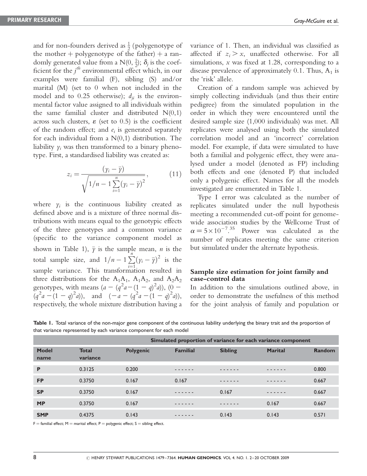and for non-founders derived as  $\frac{1}{2}$  (polygenotype of the mother + polygenotype of the father) + a randomly generated value from a N(0,  $\frac{1}{2}$ );  $\delta_j$  is the coefficient for the  $j<sup>th</sup>$  environmental effect which, in our examples were familial (F), sibling (S) and/or marital (M) (set to 0 when not included in the model and to 0.25 otherwise);  $d_{ii}$  is the environmental factor value assigned to all individuals within the same familial cluster and distributed  $N(0,1)$ across such clusters,  $\varepsilon$  (set to 0.5) is the coefficient of the random effect; and  $e_i$  is generated separately for each individual from a  $N(0,1)$  distribution. The liability  $y_i$  was then transformed to a binary phenotype. First, a standardised liability was created as:

$$
z_i = \frac{(\gamma_i - \bar{\gamma})}{\sqrt{1/n - 1\sum_{i=1}^n (\gamma_i - \bar{\gamma})^2}},
$$
(11)

where  $y_i$  is the continuous liability created as defined above and is a mixture of three normal distributions with means equal to the genotypic effects of the three genotypes and a common variance (specific to the variance component model as shown in Table 1),  $\bar{y}$  is the sample mean, *n* is the total sample size, and  $1/n - 1 \sum_{i=1}^{n} (y_i - \overline{y})^2$  is the sample variance. This transformation resulted in three distributions for the  $A_1A_1$ ,  $A_1A_2$ , and  $A_2A_2$ genotypes, with means  $(a - (q^2a - (1 - q)^2a))$ ,  $(0 (q^2a - (1-q)^2a)$ , and  $(-a - (q^2a - (1-q)^2a))$ , respectively, the whole mixture distribution having a variance of 1. Then, an individual was classified as affected if  $z_i > x$ , unaffected otherwise. For all simulations,  $x$  was fixed at 1.28, corresponding to a disease prevalence of approximately 0.1. Thus,  $A_1$  is the 'risk' allele.

Creation of a random sample was achieved by simply collecting individuals (and thus their entire pedigree) from the simulated population in the order in which they were encountered until the desired sample size (1,000 individuals) was met. All replicates were analysed using both the simulated correlation model and an 'incorrect' correlation model. For example, if data were simulated to have both a familial and polygenic effect, they were analysed under a model (denoted as FP) including both effects and one (denoted P) that included only a polygenic effect. Names for all the models investigated are enumerated in Table 1.

Type I error was calculated as the number of replicates simulated under the null hypothesis meeting a recommended cut-off point for genomewide association studies by the Wellcome Trust of  $\alpha = 5 \times 10^{-7}$ .<sup>35</sup> Power was calculated as the number of replicates meeting the same criterion but simulated under the alternate hypothesis.

## Sample size estimation for joint family and case-control data

In addition to the simulations outlined above, in order to demonstrate the usefulness of this method for the joint analysis of family and population or

Table 1. Total variance of the non-major gene component of the continuous liability underlying the binary trait and the proportion of that variance represented by each variance component for each model

|                      |                          | Simulated proportion of variance for each variance component |                 |                |                |        |  |  |
|----------------------|--------------------------|--------------------------------------------------------------|-----------------|----------------|----------------|--------|--|--|
| <b>Model</b><br>name | <b>Total</b><br>variance | Polygenic                                                    | <b>Familial</b> | <b>Sibling</b> | <b>Marital</b> | Random |  |  |
| P                    | 0.3125                   | 0.200                                                        | -----           |                | $- - - -$      | 0.800  |  |  |
| <b>FP</b>            | 0.3750                   | 0.167                                                        | 0.167           | - - - - - -    | - - - - - -    | 0.667  |  |  |
| <b>SP</b>            | 0.3750                   | 0.167                                                        | - - - - - -     | 0.167          | - - - - - -    | 0.667  |  |  |
| <b>MP</b>            | 0.3750                   | 0.167                                                        | - - - - - -     | - - - - - -    | 0.167          | 0.667  |  |  |
| <b>SMP</b>           | 0.4375                   | 0.143                                                        | - - - - - -     | 0.143          | 0.143          | 0.571  |  |  |

 $F =$  familial effect; M = marital effect; P = polygenic effect; S = sibling effect.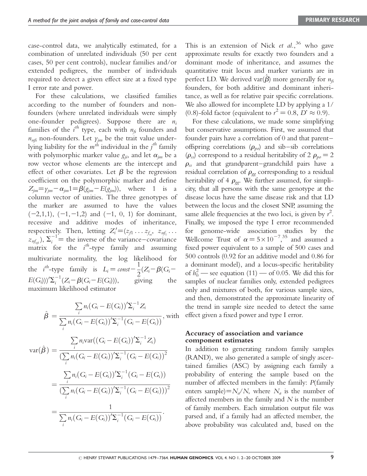case-control data, we analytically estimated, for a combination of unrelated individuals (50 per cent cases, 50 per cent controls), nuclear families and/or extended pedigrees, the number of individuals required to detect a given effect size at a fixed type I error rate and power.

For these calculations, we classified families according to the number of founders and nonfounders (where unrelated individuals were simply one-founder pedigrees). Suppose there are  $n_i$ families of the  $i^{th}$  type, each with  $n_f$  founders and  $n_{nfi}$  non-founders. Let  $\gamma_{im}$  be the trait value underlying liability for the  $m^{th}$  individual in the  $j^{th}$  family with polymorphic marker value  $g_{ii}$ , and let  $\alpha_{im}$  be a row vector whose elements are the intercept and effect of other covariates. Let  $\beta$  be the regression coefficient on the polymorphic marker and define  $Z_{jm} = \gamma_{jm} - \alpha_{jm} 1 = \beta(g_{jm} - E(g_{jm}))$ , where 1 is a column vector of unities. The three genotypes of the marker are assumed to have the values  $(-2,1,1), (-1,-1,2)$  and  $(-1, 0, 1)$  for dominant, recessive and additive modes of inheritance, respectively. Then, letting  $Z_i' = (z_{f1} \dots z_{f_n}, z_{nf_1} \dots)$  $(z_{n f_{n f}})$ ,  $\Sigma_i^{-1}$  = the inverse of the variance–covariance  $\frac{1}{m}$  matrix for the *i*<sup>th</sup>-type family and assuming multivariate normality, the log likelihood for the *i*<sup>th</sup>-type family is  $L_i = const - \frac{1}{2}(Z_i - \beta(G_i - \beta))$  $E(G_i))'\Sigma_i^{-1}(Z_i - \beta(G_i - E(G_i$ giving maximum likelihood estimator

$$
\hat{\beta} = \frac{\sum_{i} n_i (G_i - E(G_i))' \Sigma_i^{-1} Z_i}{\sum_{i} n_i (G_i - E(G_i))' \Sigma_i^{-1} (G_i - E(G_i))}, \text{ with}
$$
\n
$$
\text{var}(\hat{\beta}) = \frac{\sum_{i} n_i \text{var}((G_i - E(G_i))' \Sigma_i^{-1} Z_i)}{(\sum_{i} n_i (G_i - E(G_i))' \Sigma_i^{-1} (G_i - E(G_i))^2}
$$
\n
$$
= \frac{\sum_{i} n_i (G_i - E(G_i))' \Sigma_i^{-1} (G_i - E(G_i))}{(\sum_{i} n_i (G_i - E(G_i))' \Sigma_i^{-1} (G_i - E(G_i)))^2}
$$
\n
$$
= \frac{1}{\sum_{i} n_i (G_i - E(G_i))' \Sigma_i^{-1} (G_i - E(G_i))}.
$$

This is an extension of Nick et  $al.^{36}$  who gave approximate results for exactly two founders and a dominant mode of inheritance, and assumes the quantitative trait locus and marker variants are in perfect LD. We derived var( $\hat{\beta}$ ) more generally for  $n_{\hat{n}}$ founders, for both additive and dominant inheritance, as well as for relative pair specific correlations. We also allowed for incomplete LD by applying a  $1/$ (0.8)-fold factor (equivalent to  $r^2 = 0.8$ ,  $D' \approx 0.9$ ).

For these calculations, we made some simplifying but conservative assumptions. First, we assumed that founder pairs have a correlation of 0 and that parent– offspring correlations  $(\rho_{po})$  and sib–sib correlations  $(\rho_{ss})$  correspond to a residual heritability of 2  $\rho_{po} = 2$  $\rho_{ss}$  and that grandparent–grandchild pairs have a residual correlation of  $\rho_{gg}$  corresponding to a residual heritability of 4  $\rho_{qg}$ . We further assumed, for simplicity, that all persons with the same genotype at the disease locus have the same disease risk and that LD between the locus and the closest SNP, assuming the same allele frequencies at the two loci, is given by  $r^2$ . Finally, we imposed the type I error recommended for genome-wide association studies by the Wellcome Trust of  $\alpha = 5 \times 10^{-7}$ ,<sup>35</sup> and assumed a fixed power equivalent to a sample of 500 cases and 500 controls (0.92 for an additive model and 0.86 for a dominant model), and a locus-specific heritability of  $h_k^2$  — see equation (11) — of 0.05. We did this for samples of nuclear families only, extended pedigrees only and mixtures of both, for various sample sizes, and then, demonstrated the approximate linearity of the trend in sample size needed to detect the same effect given a fixed power and type I error.

## Accuracy of association and variance component estimates

In addition to generating random family samples (RAND), we also generated a sample of singly ascertained families (ASC) by assigning each family a probability of entering the sample based on the number of affected members in the family: P(family enters sample)= $N_a/N$ , where  $N_a$  is the number of affected members in the family and  $N$  is the number of family members. Each simulation output file was parsed and, if a family had an affected member, the above probability was calculated and, based on the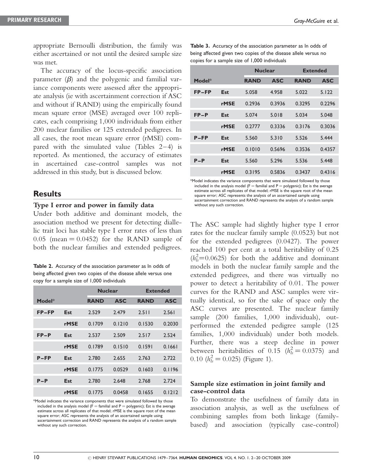appropriate Bernoulli distribution, the family was either ascertained or not until the desired sample size was met.

The accuracy of the locus-specific association parameter  $(\beta)$  and the polygenic and familial variance components were assessed after the appropriate analysis (ie with ascertainment correction if ASC and without if RAND) using the empirically found mean square error (MSE) averaged over 100 replicates, each comprising 1,000 individuals from either 200 nuclear families or 125 extended pedigrees. In all cases, the root mean square error (rMSE) compared with the simulated value (Tables 2–4) is reported. As mentioned, the accuracy of estimates in ascertained case-control samples was not addressed in this study, but is discussed below.

# **Results**

#### Type I error and power in family data

Under both additive and dominant models, the association method we present for detecting diallelic trait loci has stable type I error rates of less than  $0.05$  (mean =  $0.0452$ ) for the RAND sample of both the nuclear families and extended pedigrees.

| <b>Table 2.</b> Accuracy of the association parameter as In odds of |
|---------------------------------------------------------------------|
| being affected given two copies of the disease allele versus one    |
| copy for a sample size of 1,000 individuals                         |

|          |            |             | <b>Nuclear</b> |             | <b>Extended</b> |
|----------|------------|-------------|----------------|-------------|-----------------|
| $Model*$ |            | <b>RAND</b> | <b>ASC</b>     | <b>RAND</b> | <b>ASC</b>      |
| FP-FP    | Est        | 2.529       | 2.479          | 2.511       | 2.561           |
|          | rMSE       | 0.1709      | 0.1210         | 0.1530      | 0.2030          |
| $FP-P$   | Est        | 2.537       | 2.509          | 2.517       | 2.524           |
|          | rMSE       | 0.1789      | 0.1510         | 0.1591      | 0.1661          |
| $P - FP$ | Est        | 2.780       | 2.655          | 2.763       | 2.722           |
|          | rMSE       | 0.1775      | 0.0529         | 0.1603      | 0.1196          |
| $P - P$  | <b>Est</b> | 2.780       | 2.648          | 2.768       | 2.724           |
|          | rMSE       | 0.1775      | 0.0458         | 0.1655      | 0.1212          |

\*Model indicates the variance components that were simulated followed by those included in the analysis model ( $\vec{F}$  = familial and P = polygenic); Est is the average estimate across all replicates of that model; rMSE is the square root of the mean square error; ASC represents the analysis of an ascertained sample using ascertainment correction and RAND represents the analysis of a random sample without any such correction.

Table 3. Accuracy of the association parameter as In odds of being affected given two copies of the disease allele versus no copies for a sample size of 1,000 individuals

|          |            |             | <b>Nuclear</b> |             | <b>Extended</b> |
|----------|------------|-------------|----------------|-------------|-----------------|
| $Model*$ |            | <b>RAND</b> | <b>ASC</b>     | <b>RAND</b> | <b>ASC</b>      |
| FP-FP    | <b>Est</b> | 5.058       | 4.958          | 5.022       | 5.122           |
|          | rMSE       | 0.2936      | 0.3936         | 0.3295      | 0.2296          |
| $FP - P$ | Est        | 5.074       | 5.018          | 5.034       | 5.048           |
|          | rMSE       | 0.2777      | 0.3336         | 0.3176      | 0.3036          |
| $P - FP$ | Est        | 5.560       | 5.310          | 5.526       | 5.444           |
|          | rMSE       | 0.1010      | 0.5696         | 0.3536      | 0.4357          |
| $P-P$    | <b>Est</b> | 5.560       | 5.296          | 5.536       | 5.448           |
|          | rMSE       | 0.3195      | 0.5836         | 0.3437      | 0.4316          |

\*Model indicates the variance components that were simulated followed by those included in the analysis model ( $F =$  familial and  $P =$  polygenic); Est is the average estimate across all replicates of that model; rMSE is the square root of the mean square error; ASC represents the analysis of an ascertained sample using ascertainment correction and RAND represents the analysis of a random sample without any such correction.

The ASC sample had slightly higher type I error rates for the nuclear family sample (0.0523) but not for the extended pedigrees (0.0427). The power reached 100 per cent at a total heritability of 0.25  $(h_{ls}^2=0.0625)$  for both the additive and dominant models in both the nuclear family sample and the extended pedigrees, and there was virtually no power to detect a heritability of 0.01. The power curves for the RAND and ASC samples were virtually identical, so for the sake of space only the ASC curves are presented. The nuclear family sample (200 families, 1,000 individuals), outperformed the extended pedigree sample (125 families, 1,000 individuals) under both models. Further, there was a steep decline in power between heritabilities of 0.15  $(h_{ls}^2 = 0.0375)$  and 0.10 ( $h_k^2 = 0.025$ ) (Figure 1).

#### Sample size estimation in joint family and case-control data

To demonstrate the usefulness of family data in association analysis, as well as the usefulness of combining samples from both linkage (familybased) and association (typically case-control)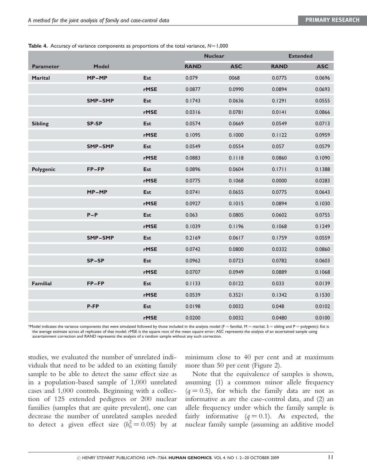|                  |              |             | <b>Nuclear</b> |            | <b>Extended</b> |            |
|------------------|--------------|-------------|----------------|------------|-----------------|------------|
| <b>Parameter</b> | <b>Model</b> |             | <b>RAND</b>    | <b>ASC</b> | <b>RAND</b>     | <b>ASC</b> |
| <b>Marital</b>   | <b>MP-MP</b> | Est         | 0.079          | 0068       | 0.0775          | 0.0696     |
|                  |              | <b>rMSE</b> | 0.0877         | 0.0990     | 0.0894          | 0.0693     |
|                  | SMP-SMP      | Est         | 0.1743         | 0.0636     | 0.1291          | 0.0555     |
|                  |              | <b>rMSE</b> | 0.0316         | 0.0781     | 0.0141          | 0.0866     |
| <b>Sibling</b>   | <b>SP-SP</b> | Est         | 0.0574         | 0.0669     | 0.0549          | 0.0713     |
|                  |              | <b>rMSE</b> | 0.1095         | 0.1000     | 0.1122          | 0.0959     |
|                  | SMP-SMP      | Est         | 0.0549         | 0.0554     | 0.057           | 0.0579     |
|                  |              | rMSE        | 0.0883         | 0.1118     | 0.0860          | 0.1090     |
| Polygenic        | FP-FP        | Est         | 0.0896         | 0.0604     | 0.1711          | 0.1388     |
|                  |              | rMSE        | 0.0775         | 0.1068     | 0.0000          | 0.0283     |
|                  | MP-MP        | Est         | 0.0741         | 0.0655     | 0.0775          | 0.0643     |
|                  |              | <b>rMSE</b> | 0.0927         | 0.1015     | 0.0894          | 0.1030     |
|                  | $P - P$      | Est         | 0.063          | 0.0805     | 0.0602          | 0.0755     |
|                  |              | <b>rMSE</b> | 0.1039         | 0.1196     | 0.1068          | 0.1249     |
|                  | SMP-SMP      | Est         | 0.2169         | 0.0617     | 0.1759          | 0.0559     |
|                  |              | rMSE        | 0.0742         | 0.0800     | 0.0332          | 0.0860     |
|                  | SP-SP        | Est         | 0.0962         | 0.0723     | 0.0782          | 0.0603     |
|                  |              | rMSE        | 0.0707         | 0.0949     | 0.0889          | 0.1068     |
| <b>Familial</b>  | FP-FP        | Est         | 0.1133         | 0.0122     | 0.033           | 0.0139     |
|                  |              | rMSE        | 0.0539         | 0.3521     | 0.1342          | 0.1530     |
|                  | P-FP         | Est         | 0.0198         | 0.0032     | 0.048           | 0.0102     |
|                  |              | <b>rMSE</b> | 0.0200         | 0.0032     | 0.0480          | 0.0100     |

|  |  |  | <b>Table 4.</b> Accuracy of variance components as proportions of the total variance, N=1,000 |  |  |  |  |  |  |
|--|--|--|-----------------------------------------------------------------------------------------------|--|--|--|--|--|--|
|--|--|--|-----------------------------------------------------------------------------------------------|--|--|--|--|--|--|

\*Model indicates the variance components that were simulated followed by those included in the analysis model (F = familial, M = marital, S = sibling and P = polygenic); Est is the average estimate across all replicates of that model; rMSE is the square root of the mean square error; ASC represents the analysis of an ascertained sample using ascertainment correction and RAND represents the analysis of a random sample without any such correction.

studies, we evaluated the number of unrelated individuals that need to be added to an existing family sample to be able to detect the same effect size as in a population-based sample of 1,000 unrelated cases and 1,000 controls. Beginning with a collection of 125 extended pedigrees or 200 nuclear families (samples that are quite prevalent), one can decrease the number of unrelated samples needed to detect a given effect size  $(h_{ls}^2 = 0.05)$  by at

minimum close to 40 per cent and at maximum more than 50 per cent (Figure 2).

Note that the equivalence of samples is shown, assuming (1) a common minor allele frequency  $(q = 0.5)$ , for which the family data are not as informative as are the case-control data, and (2) an allele frequency under which the family sample is fairly informative  $(q = 0.1)$ . As expected, the nuclear family sample (assuming an additive model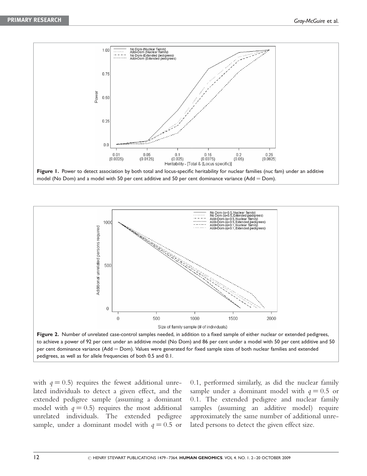





with  $q = 0.5$ ) requires the fewest additional unrelated individuals to detect a given effect, and the extended pedigree sample (assuming a dominant model with  $q = 0.5$  requires the most additional unrelated individuals. The extended pedigree sample, under a dominant model with  $q = 0.5$  or 0.1, performed similarly, as did the nuclear family sample under a dominant model with  $q = 0.5$  or 0.1. The extended pedigree and nuclear family samples (assuming an additive model) require approximately the same number of additional unrelated persons to detect the given effect size.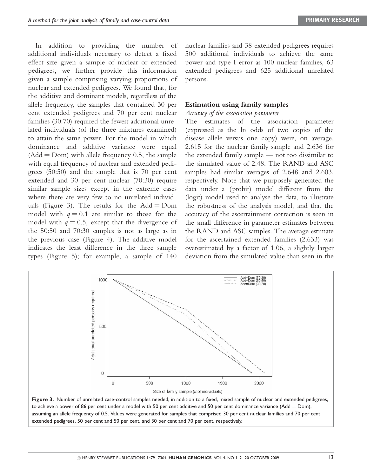In addition to providing the number of additional individuals necessary to detect a fixed effect size given a sample of nuclear or extended pedigrees, we further provide this information given a sample comprising varying proportions of nuclear and extended pedigrees. We found that, for the additive and dominant models, regardless of the allele frequency, the samples that contained 30 per cent extended pedigrees and 70 per cent nuclear families (30:70) required the fewest additional unrelated individuals (of the three mixtures examined) to attain the same power. For the model in which dominance and additive variance were equal  $(Add = Dom)$  with allele frequency 0.5, the sample with equal frequency of nuclear and extended pedigrees (50:50) and the sample that is 70 per cent extended and 30 per cent nuclear (70:30) require similar sample sizes except in the extreme cases where there are very few to no unrelated individuals (Figure 3). The results for the  $Add = Dom$ model with  $q = 0.1$  are similar to those for the model with  $q = 0.5$ , except that the divergence of the 50:50 and 70:30 samples is not as large as in the previous case (Figure 4). The additive model indicates the least difference in the three sample types (Figure 5); for example, a sample of 140

nuclear families and 38 extended pedigrees requires 500 additional individuals to achieve the same power and type I error as 100 nuclear families, 63 extended pedigrees and 625 additional unrelated persons.

#### Estimation using family samples

#### Accuracy of the association parameter

The estimates of the association parameter (expressed as the ln odds of two copies of the disease allele versus one copy) were, on average, 2.615 for the nuclear family sample and 2.636 for the extended family sample — not too dissimilar to the simulated value of 2.48. The RAND and ASC samples had similar averages of 2.648 and 2.603, respectively. Note that we purposely generated the data under a (probit) model different from the (logit) model used to analyse the data, to illustrate the robustness of the analysis model, and that the accuracy of the ascertainment correction is seen in the small difference in parameter estimates between the RAND and ASC samples. The average estimate for the ascertained extended families (2.633) was overestimated by a factor of 1.06, a slightly larger deviation from the simulated value than seen in the



Figure 3. Number of unrelated case-control samples needed, in addition to a fixed, mixed sample of nuclear and extended pedigrees, to achieve a power of 86 per cent under a model with 50 per cent additive and 50 per cent dominance variance (Add  $=$  Dom), assuming an allele frequency of 0.5. Values were generated for samples that comprised 30 per cent nuclear families and 70 per cent extended pedigrees, 50 per cent and 50 per cent, and 30 per cent and 70 per cent, respectively.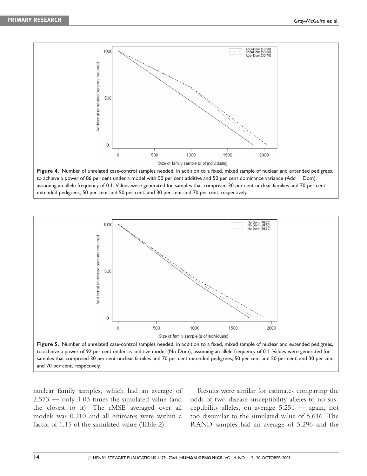

Figure 4. Number of unrelated case-control samples needed, in addition to a fixed, mixed sample of nuclear and extended pedigrees, to achieve a power of 86 per cent under a model with 50 per cent additive and 50 per cent dominance variance (Add  $=$  Dom), assuming an allele frequency of 0.1. Values were generated for samples that comprised 30 per cent nuclear families and 70 per cent extended pedigrees, 50 per cent and 50 per cent, and 30 per cent and 70 per cent, respectively.



Figure 5. Number of unrelated case-control samples needed, in addition to a fixed, mixed sample of nuclear and extended pedigrees, to achieve a power of 92 per cent under as additive model (No Dom), assuming an allele frequency of 0.1. Values were generated for samples that comprised 30 per cent nuclear families and 70 per cent extended pedigrees, 50 per cent and 50 per cent, and 30 per cent and 70 per cent, respectively.

nuclear family samples, which had an average of 2.573 — only 1.03 times the simulated value (and the closest to it). The rMSE averaged over all models was 0.210 and all estimates were within a factor of 1.15 of the simulated value (Table 2).

Results were similar for estimates comparing the odds of two disease susceptibility alleles to no susceptibility alleles, on average 5.251 — again, not too dissimilar to the simulated value of 5.616. The RAND samples had an average of 5.296 and the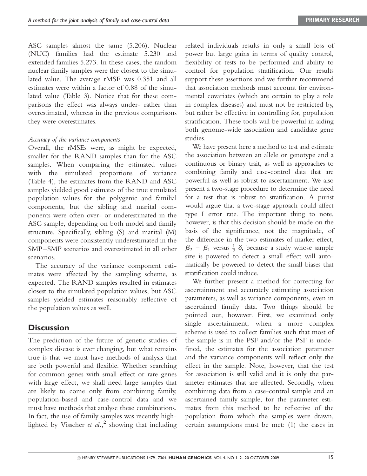ASC samples almost the same (5.206). Nuclear (NUC) families had the estimate 5.230 and extended families 5.273. In these cases, the random nuclear family samples were the closest to the simulated value. The average rMSE was 0.351 and all estimates were within a factor of 0.88 of the simulated value (Table 3). Notice that for these comparisons the effect was always under- rather than overestimated, whereas in the previous comparisons they were overestimates.

# Accuracy of the variance components

Overall, the rMSEs were, as might be expected, smaller for the RAND samples than for the ASC samples. When comparing the estimated values with the simulated proportions of variance (Table 4), the estimates from the RAND and ASC samples yielded good estimates of the true simulated population values for the polygenic and familial components, but the sibling and marital components were often over- or underestimated in the ASC sample, depending on both model and family structure. Specifically, sibling (S) and marital (M) components were consistently underestimated in the SMP–SMP scenarios and overestimated in all other scenarios.

The accuracy of the variance component estimates were affected by the sampling scheme, as expected. The RAND samples resulted in estimates closest to the simulated population values, but ASC samples yielded estimates reasonably reflective of the population values as well.

# **Discussion**

The prediction of the future of genetic studies of complex disease is ever changing, but what remains true is that we must have methods of analysis that are both powerful and flexible. Whether searching for common genes with small effect or rare genes with large effect, we shall need large samples that are likely to come only from combining family, population-based and case-control data and we must have methods that analyse these combinations. In fact, the use of family samples was recently highlighted by Visscher et al.,<sup>2</sup> showing that including

related individuals results in only a small loss of power but large gains in terms of quality control, flexibility of tests to be performed and ability to control for population stratification. Our results support these assertions and we further recommend that association methods must account for environmental covariates (which are certain to play a role in complex diseases) and must not be restricted by, but rather be effective in controlling for, population stratification. These tools will be powerful in aiding both genome-wide association and candidate gene studies.

We have present here a method to test and estimate the association between an allele or genotype and a continuous or binary trait, as well as approaches to combining family and case-control data that are powerful as well as robust to ascertainment. We also present a two-stage procedure to determine the need for a test that is robust to stratification. A purist would argue that a two-stage approach could affect type I error rate. The important thing to note, however, is that this decision should be made on the basis of the significance, not the magnitude, of the difference in the two estimates of marker effect,  $\beta_2$  –  $\beta_1$  versus  $\frac{1}{2}$   $\delta$ , because a study whose sample size is powered to detect a small effect will automatically be powered to detect the small biases that stratification could induce.

We further present a method for correcting for ascertainment and accurately estimating association parameters, as well as variance components, even in ascertained family data. Two things should be pointed out, however. First, we examined only single ascertainment, when a more complex scheme is used to collect families such that most of the sample is in the PSF and/or the PSF is undefined, the estimates for the association parameter and the variance components will reflect only the effect in the sample. Note, however, that the test for association is still valid and it is only the parameter estimates that are affected. Secondly, when combining data from a case-control sample and an ascertained family sample, for the parameter estimates from this method to be reflective of the population from which the samples were drawn, certain assumptions must be met: (1) the cases in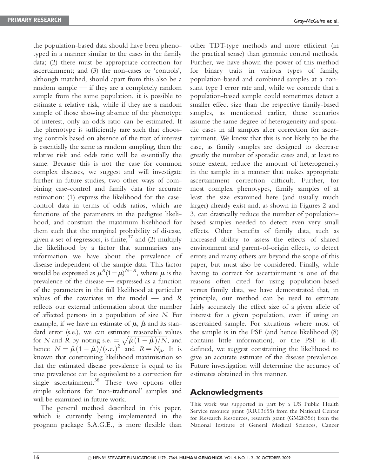the population-based data should have been phenotyped in a manner similar to the cases in the family data; (2) there must be appropriate correction for ascertainment; and (3) the non-cases or 'controls', although matched, should apart from this also be a random sample — if they are a completely random sample from the same population, it is possible to estimate a relative risk, while if they are a random sample of those showing absence of the phenotype of interest, only an odds ratio can be estimated. If the phenotype is sufficiently rare such that choosing controls based on absence of the trait of interest is essentially the same as random sampling, then the relative risk and odds ratio will be essentially the same. Because this is not the case for common complex diseases, we suggest and will investigate further in future studies, two other ways of combining case-control and family data for accurate estimation: (1) express the likelihood for the casecontrol data in terms of odds ratios, which are functions of the parameters in the pedigree likelihood, and constrain the maximum likelihood for them such that the marginal probability of disease, given a set of regressors, is finite;  $37$  and (2) multiply the likelihood by a factor that summarises any information we have about the prevalence of disease independent of the sample data. This factor would be expressed as  $\mu^R (1-\mu)^{N-R}$ , where  $\mu$  is the prevalence of the disease — expressed as a function of the parameters in the full likelihood at particular values of the covariates in the model — and R reflects our external information about the number of affected persons in a population of size N. For example, if we have an estimate of  $\mu$ ,  $\hat{\mu}$  and its standard error (s.e.), we can estimate reasonable values for *N* and *R* by noting s.e.  $= \sqrt{\hat{\mu}(1-\hat{\mu})/N}$ , and hence  $N = \hat{\mu} (1 - \hat{\mu}) / (s.e.)^2$  and  $R = N_{\hat{\mu}}$ . It is known that constraining likelihood maximisation so that the estimated disease prevalence is equal to its true prevalence can be equivalent to a correction for single ascertainment.<sup>38</sup> These two options offer simple solutions for 'non-traditional' samples and will be examined in future work.

The general method described in this paper, which is currently being implemented in the program package S.A.G.E., is more flexible than

other TDT-type methods and more efficient (in the practical sense) than genomic control methods. Further, we have shown the power of this method for binary traits in various types of family, population-based and combined samples at a constant type I error rate and, while we concede that a population-based sample could sometimes detect a smaller effect size than the respective family-based samples, as mentioned earlier, these scenarios assume the same degree of heterogeneity and sporadic cases in all samples after correction for ascertainment. We know that this is not likely to be the case, as family samples are designed to decrease greatly the number of sporadic cases and, at least to some extent, reduce the amount of heterogeneity in the sample in a manner that makes appropriate ascertainment correction difficult. Further, for most complex phenotypes, family samples of at least the size examined here (and usually much larger) already exist and, as shown in Figures 2 and 3, can drastically reduce the number of populationbased samples needed to detect even very small effects. Other benefits of family data, such as increased ability to assess the effects of shared environment and parent-of-origin effects, to detect errors and many others are beyond the scope of this paper, but must also be considered. Finally, while having to correct for ascertainment is one of the reasons often cited for using population-based versus family data, we have demonstrated that, in principle, our method can be used to estimate fairly accurately the effect size of a given allele of interest for a given population, even if using an ascertained sample. For situations where most of the sample is in the PSF (and hence likelihood (8) contains little information), or the PSF is illdefined, we suggest constraining the likelihood to give an accurate estimate of the disease prevalence. Future investigation will determine the accuracy of estimates obtained in this manner.

# Acknowledgments

This work was supported in part by a US Public Health Service resource grant (RR03655) from the National Center for Research Resources, research grant (GM28356) from the National Institute of General Medical Sciences, Cancer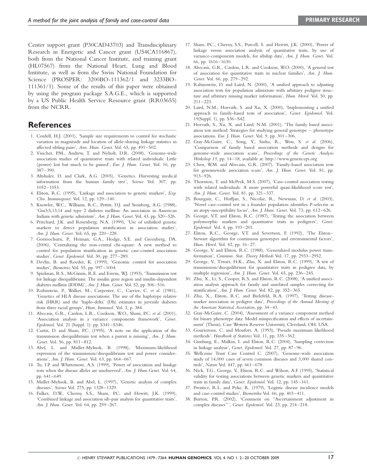Center support grant (P30CAD43703) and Transdisciplinary Research in Energetic and Cancer grant (U54CA116867), both from the National Cancer Institute, and training grant (HL07567) from the National Heart, Lung and Blood Institute, as well as from the Swiss National Foundation for Science (PROSPER: 3200BO-111362/1 and 3233BO-111361/1). Some of the results of this paper were obtained by using the program package S.A.G.E., which is supported by a US Public Health Service Resource grant (RR03655) from the NCRR.

# References

- 1. Cordell, H.J. (2001), 'Sample size requirements to control for stochastic variation in magnitude and location of allele-sharing linkage statistics in affected sibling pairs', Ann. Hum. Genet. Vol. 65, pp. 491–502.
- 2. Visscher, P.M., Andrew, T. and Nyholt, D.R. (2008), 'Genome-wide association studies of quantitative traits with related individuals: Little (power) lost but much to be gained', Eur. J. Hum. Genet. Vol. 16, pp. 387–390.
- 3. Altshuler, D. and Clark, A.G. (2005), 'Genetics. Harvesting medical information from the human family tree', Science Vol. 307, pp. 1052–1053.
- 4. Elston, R.C. (1995), 'Linkage and association to genetic markers', Exp. Clin. Immunogenet. Vol. 12, pp. 129–140.
- 5. Knowler, W.C., Williams, R.C., Pettitt, D.J. and Steinberg, A.G. (1988), 'Gm3;5,13,14 and type 2 diabetes mellitus: An association in American Indians with genetic admixture', Am. J. Hum. Genet. Vol. 43, pp. 520–526.
- 6. Pritchard, J.K. and Rosenberg, N.A. (1999), 'Use of unlinked genetic markers to detect population stratification in association studies', Am. J. Hum. Genet. Vol. 65, pp. 220–228.
- 7. Gorroochurn, P., Heiman, G.A., Hodge, S.E. and Greenberg, DA. (2006), 'Centralizing the non-central chi-square: A new method to control for population stratification in genetic case-control association studies', Genet. Epidemiol. Vol. 30, pp. 277-289.
- 8. Devlin, B. and Roeder, K. (1999), 'Genomic control for association studies', Biometrics Vol. 55, pp. 997-1004.
- 9. Spielman, R.S., McGinnis, R.E. and Ewens, W.J. (1993), 'Transmission test for linkage disequilibrium: The insulin gene region and insulin-dependent diabetes mellitus (IDDM)', Am. J. Hum. Genet. Vol. 52, pp. 506–516.
- 10. Rubinstein, P., Walker, M., Carpenter, C., Carrier, C. et al. (1981), 'Genetics of HLA disease associations: The use of the haplotype relative risk (HRR) and the 'haplo-delta' (Dh) estimates in juvenile diabetes from three racial groups', Hum. Immunol. Vol. 3, p. 384.
- 11. Abecasis, G.R., Cardon, L.R., Cookson, W.O., Sham, P.C. et al. (2001), 'Association analysis in a variance components framework', Genet. Epidemiol. Vol. 21 (Suppl. 1): pp. S341–S346.
- 12. Curtis, D. and Sham, P.C. (1995), 'A note on the application of the transmission disequilibrium test when a parent is missing', Am. J. Hum. Genet. Vol. 56, pp. 811–812.
- 13. Abel, L. and Muller-Myhsok, B. (1998), 'Maximum-likelihood expression of the transmission/disequilibrium test and power considerations', Am. J. Hum. Genet. Vol. 63, pp. 664–667.
- 14. Tu, I.P. and Whittemore, A.S. (1999), 'Power of association and linakge tests when the disease alleles are unobserved', Am. J. Hum.Genet. Vol. 64, pp. 641–649.
- 15. Muller-Myhsok, B. and Abel, L. (1997), 'Genetic analysis of complex diseases', Science Vol. 275, pp. 1328–1329.
- 16. Fulker, D.W., Cherny, S.S., Sham, P.C. and Hewitt, J.K. (1999), 'Combined linkage and association sib-pair analysis for quantitative traits', Am. J. Hum. Genet. Vol. 64, pp. 259–267.
- 17. Sham, P.C., Cherny, S.S., Purcell, S. and Hewitt, J.K. (2000), 'Power of linkage versus association analysis of quantitative traits, by use of variance-components models, for sibship data', Am. J. Hum. Genet. Vol. 66, pp. 1616–1630.
- 18. Abecasis, G.R., Cardon, L.R. and Cookson, W.O. (2000), 'A general test of association for quantitative traits in nuclear families', Am. J. Hum. Genet. Vol. 66, pp. 279–292.
- 19. Rabinowitz, D. and Laird, N. (2000), 'A unified approach to adjusting association tests for population admixture with arbitrary pedigree structure and arbitrary missing marker information', Hum. Hered. Vol. 50, pp. 211–223.
- 20. Laird, N.M., Horvath, S. and Xu, X. (2000), 'Implementing a unified approach to family-based tests of association', Genet. Epidemiol. Vol. 19(Suppl. 1), pp. S36–S42.
- 21. Horvath, S., Xu, X. and Laird, N.M. (2001), 'The family based association test method: Strategies for studying general genotype – phenotype associations. Eur. J. Hum. Genet. Vol. 9, pp. 301–306.
- 22. Gray-McGuire, C., Song, Y., Sinha, R., Won, S. et al. (2006), 'Comparison of family based association methods and designs for genome-wide association scans', Proceedings of the Genetic Analysis Workshop 15, pp. 14–18, available at: http://www.geneticepi.org
- 23. Chen, W.M. and Abecasis, G.R. (2007), 'Family-based association tests for genomewide association scans', Am. J. Hum. Genet. Vol. 81, pp. 913–926.
- 24. Thornton, T. and McPeek, M.S. (2007), 'Case-control association testing with related individuals: A more powerful quasi-likelihood score test', Am. J. Hum. Genet. Vol. 81, pp. 321–337.
- 25. Bourgain, C., Hoffjan, S., Nicolae, R., Newman, D. et al. (2003), 'Novel case-control test in a founder population identifies P-selectin as an atopy-susceptibility locus', Am. J. Hum. Genet. Vol. 73, pp. 612–626.
- 26. George, V.T. and Elston, R.C. (1987), 'Testing the association between polymorphic markers and quantitative traits in pedigrees', Genet. Epidemiol. Vol. 4, pp. 193–201.
- 27. Elston, R.C., George, V.T. and Severtson, F. (1992), 'The Elston– Stewart algorithm for continuous genotypes and environmental factors', Hum. Hered. Vol. 42, pp. 16–27.
- 28. George, V. and Elston, R.C. (1988), 'Generalized modulus power transformation', Commun. Stat. Theory Methods Vol. 17, pp. 2933–2952.
- 29. George, V., Tiwari, H.K., Zhu, X. and Elston, R.C. (1999), 'A test of transmission/disequilibrium for quantitative traits in pedigree data, by multiple regression', Am. J. Hum. Genet. Vol. 65, pp. 236–245.
- 30. Zhu, X., Li, S., Cooper, R.S. and Elston, R.C. (2008), 'A unified association analysis approach for family and unrelated samples correcting for stratification', Am. J. Hum. Genet. Vol. 82, pp. 352–365.
- 31. Zhu, X., Elston, R.C. and Bielefeld, R.A. (1997), 'Testing diseasemarker association in pedigree data', Proceedings of the Annual Meeting of the American Statistical Association, pp. 34–43.
- 32. Gray-McGuire, C. (2004), 'Assessment of a variance component method for binary phenotype data: Model misspecification and effects of ascertainment' (Thesis), Case Western Reserve University, Cleveland, OH, USA.
- 33. Gourieroux, C. and Monfort, A. (1993), 'Pseudo maximum likelihood methods'. Handbook of Statistics Vol. 11, pp. 335–362.
- 34. Ginsburg, E., Malkin, I. and Elston, R.C. (2004), 'Sampling correction in linkage analysis', Genet. Epidemiol. Vol. 27, pp. 87–96.
- 35. Wellcome Trust Case Control C. (2007), 'Genome-wide association study of 14,000 cases of seven common diseases and 3,000 shared controls', Nature Vol. 447, pp. 661–678.
- 36. Nick, T.G., George, V., Elston, R.C. and Wilson, A.F. (1995), 'Statistical validity for testing associations between genetic markers and quantitative traits in family data', Genet. Epidemiol. Vol. 12, pp. 145–161.
- 37. Prentice, R.L. and Pyke, R. (1979), 'Logistic disease incidence models and case-control studies', Biometrika Vol. 66, pp. 403–411.
- 38. Burton, P.R. (2002), 'Comment on "Ascertainment adjustment in complex diseases" ', Genet. Epidemiol. Vol. 23, pp. 214–218.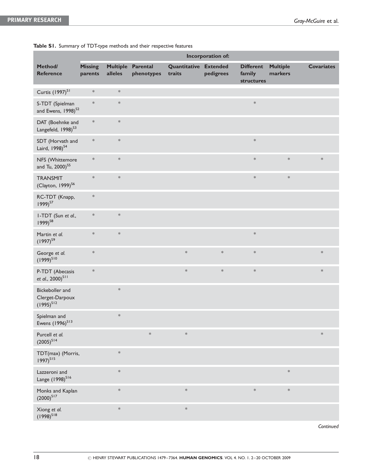|                                                      | $\overline{\phantom{a}}$<br>71<br>т<br>Incorporation of: |                            |                        |                        |                              |                                          |                            |                   |
|------------------------------------------------------|----------------------------------------------------------|----------------------------|------------------------|------------------------|------------------------------|------------------------------------------|----------------------------|-------------------|
| Method/<br><b>Reference</b>                          | <b>Missing</b><br>parents                                | <b>Multiple</b><br>alleles | Parental<br>phenotypes | Quantitative<br>traits | <b>Extended</b><br>pedigrees | <b>Different</b><br>family<br>structures | <b>Multiple</b><br>markers | <b>Covariates</b> |
| Curtis (1997) <sup>SI</sup>                          | $\ast$                                                   | $\ast$                     |                        |                        |                              |                                          |                            |                   |
| S-TDT (Spielman<br>and Ewens, 1998) <sup>S2</sup>    | $\ast$                                                   | $\ast$                     |                        |                        |                              | $\ast$                                   |                            |                   |
| DAT (Boehnke and<br>Langefeld, 1998) <sup>S3</sup>   | $\ast$                                                   | $\ast$                     |                        |                        |                              |                                          |                            |                   |
| SDT (Horvath and<br>Laird, 1998) <sup>S4</sup>       | $\ast$                                                   | $\ast$                     |                        |                        |                              | $\ast$                                   |                            |                   |
| NFS (Whittemore<br>and Tu, 2000) <sup>S5</sup>       | $\ast$                                                   | $\ast$                     |                        |                        |                              | $\ast$                                   | $\ast$                     | $\ast$            |
| <b>TRANSMIT</b><br>(Clayton, 1999) <sup>S6</sup>     | $\ast$                                                   | $\ast$                     |                        |                        |                              | $\ast$                                   | $\ast$                     |                   |
| RC-TDT (Knapp,<br>$1999)^{57}$                       | $\ast$                                                   |                            |                        |                        |                              |                                          |                            |                   |
| I-TDT (Sun et al.,<br>$1999)^{58}$                   | $\ast$                                                   | $\ast$                     |                        |                        |                              |                                          |                            |                   |
| Martin et al.<br>$(1997)^{59}$                       | $\ast$                                                   | $\ast$                     |                        |                        |                              | $\ast$                                   |                            |                   |
| George et al.<br>$(1999)^{510}$                      | $\ast$                                                   |                            |                        | $\ast$                 | $\ast$                       | $\ast$                                   |                            | $\ast$            |
| P-TDT (Abecasis<br>et al., 2000) <sup>S11</sup>      | $\ast$                                                   |                            |                        | $\ast$                 | $\ast$                       | $\ast$                                   |                            | $\ast$            |
| Bickeboller and<br>Clerget-Darpoux<br>$(1995)^{S12}$ |                                                          | $\ast$                     |                        |                        |                              |                                          |                            |                   |
| Spielman and<br>Ewens (1996) <sup>S13</sup>          |                                                          | $\ast$                     |                        |                        |                              |                                          |                            |                   |
| Purcell et al.<br>$(2005)^{S14}$                     |                                                          |                            | $\ast$                 | $\ast$                 |                              |                                          |                            | $\ast$            |
| TDT(max) (Morris,<br>$1997)^{S15}$                   |                                                          | $\ast$                     |                        |                        |                              |                                          |                            |                   |
| Lazzeroni and<br>Lange (1998) <sup>S16</sup>         |                                                          | $\ast$                     |                        |                        |                              |                                          | $\ast$                     |                   |
| Monks and Kaplan<br>$(2000)^{S17}$                   |                                                          | $\ast$                     |                        | $\ast$                 |                              | $\ast$                                   | $\ast$                     |                   |
| Xiong et al.<br>$(1998)^{518}$                       |                                                          | $\ast$                     |                        | $\ast$                 |                              |                                          |                            |                   |

#### Table S1. Summary of TDT-type methods and their respective features

Continued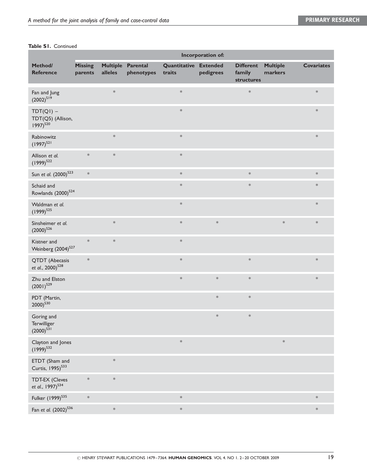|                                                       | Incorporation of:         |         |                                 |                                 |           |                                          |                            |                   |
|-------------------------------------------------------|---------------------------|---------|---------------------------------|---------------------------------|-----------|------------------------------------------|----------------------------|-------------------|
| Method/<br><b>Reference</b>                           | <b>Missing</b><br>parents | alleles | Multiple Parental<br>phenotypes | Quantitative Extended<br>traits | pedigrees | <b>Different</b><br>family<br>structures | <b>Multiple</b><br>markers | <b>Covariates</b> |
| Fan and Jung<br>$(2002)^{S19}$                        |                           | $\ast$  |                                 | $\ast$                          |           | $\ast$                                   |                            | $\ast$            |
| $TDT(QI) -$<br>TDT(Q5) (Allison,<br>$1997)^{520}$     |                           |         |                                 | $\ast$                          |           |                                          |                            | $\ast$            |
| Rabinowitz<br>$(1997)^{521}$                          |                           | $\ast$  |                                 | $\ast$                          |           |                                          |                            | $\ast$            |
| Allison et al.<br>$(1999)^{522}$                      | $\ast$                    | $\ast$  |                                 | $\ast$                          |           |                                          |                            |                   |
| Sun et al. (2000) <sup>S23</sup>                      | $\ast$                    |         |                                 | $\ast$                          |           | $\ast$                                   |                            | $\ast$            |
| Schaid and<br>Rowlands (2000) <sup>S24</sup>          |                           |         |                                 | $\ast$                          |           | $\ast$                                   |                            | $\ast$            |
| Waldman et al.<br>$(1999)^{525}$                      |                           |         |                                 | $\ast$                          |           |                                          |                            | $\ast$            |
| Sinsheimer et al.<br>$(2000)^{526}$                   |                           | $\ast$  |                                 | $\ast$                          | $\ast$    |                                          | $\ast$                     | $\ast$            |
| Kistner and<br>Weinberg (2004) <sup>S27</sup>         | $\ast$                    | $\ast$  |                                 | $\ast$                          |           |                                          |                            |                   |
| QTDT (Abecasis<br>et al., 2000) <sup>S28</sup>        | $\ast$                    |         |                                 | $\ast$                          |           | $\ast$                                   |                            | $\ast$            |
| Zhu and Elston<br>$(2001)^{529}$                      |                           |         |                                 | $\ast$                          | $\ast$    | $\ast$                                   |                            | $\ast$            |
| PDT (Martin,<br>$2000)^{530}$                         |                           |         |                                 |                                 | $\ast$    | $\ast$                                   |                            |                   |
| Goring and<br>Terwilliger<br>$(2000)^{531}$           |                           |         |                                 |                                 | $\ast$    | $\ast$                                   |                            |                   |
| Clayton and Jones<br>$(1999)^{532}$                   |                           |         |                                 | $\ast$                          |           |                                          | $\ast$                     |                   |
| ETDT (Sham and<br>Curtis, 1995) <sup>533</sup>        |                           | $\ast$  |                                 |                                 |           |                                          |                            |                   |
| <b>TDT-EX (Cleves</b><br>et al., 1997) <sup>534</sup> | $\ast$                    | $\ast$  |                                 |                                 |           |                                          |                            |                   |
| Fulker (1999) <sup>S35</sup>                          | $\ast$                    |         |                                 | $\ast$                          |           |                                          |                            | $\ast$            |
| Fan et al. (2002) <sup>S36</sup>                      |                           | $\ast$  |                                 | $\ast$                          |           |                                          |                            | $\ast$            |

#### Table S1. Continued